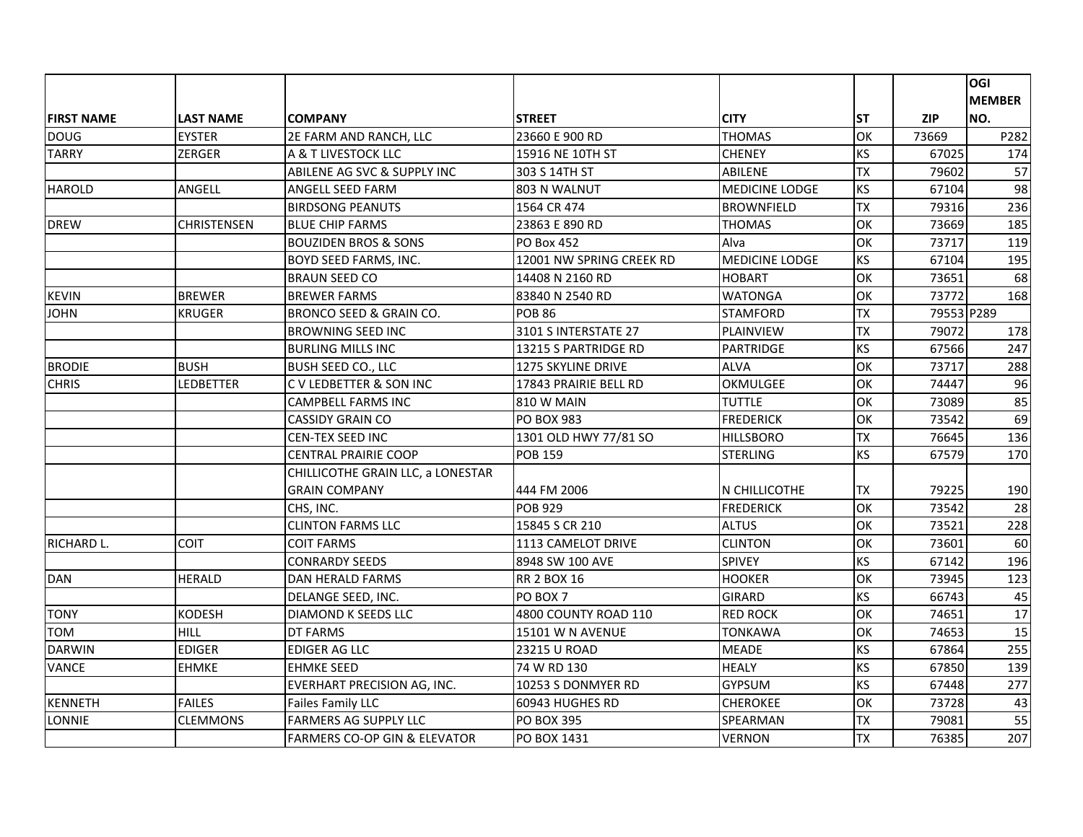|                   |                  |                                         |                          |                       |           |            | <b>OGI</b>    |
|-------------------|------------------|-----------------------------------------|--------------------------|-----------------------|-----------|------------|---------------|
|                   |                  |                                         |                          |                       |           |            | <b>MEMBER</b> |
| <b>FIRST NAME</b> | <b>LAST NAME</b> | <b>COMPANY</b>                          | <b>STREET</b>            | <b>CITY</b>           | <b>ST</b> | <b>ZIP</b> | NO.           |
| <b>DOUG</b>       | <b>EYSTER</b>    | 2E FARM AND RANCH, LLC                  | 23660 E 900 RD           | <b>THOMAS</b>         | OK        | 73669      | P282          |
| <b>TARRY</b>      | ZERGER           | A & T LIVESTOCK LLC                     | 15916 NE 10TH ST         | <b>CHENEY</b>         | KS        | 67025      | 174           |
|                   |                  | ABILENE AG SVC & SUPPLY INC             | 303 S 14TH ST            | <b>ABILENE</b>        | <b>TX</b> | 79602      | 57            |
| <b>HAROLD</b>     | ANGELL           | <b>ANGELL SEED FARM</b>                 | 803 N WALNUT             | <b>MEDICINE LODGE</b> | KS        | 67104      | 98            |
|                   |                  | <b>BIRDSONG PEANUTS</b>                 | 1564 CR 474              | <b>BROWNFIELD</b>     | <b>TX</b> | 79316      | 236           |
| <b>DREW</b>       | CHRISTENSEN      | <b>BLUE CHIP FARMS</b>                  | 23863 E 890 RD           | <b>THOMAS</b>         | OK        | 73669      | 185           |
|                   |                  | <b>BOUZIDEN BROS &amp; SONS</b>         | <b>PO Box 452</b>        | Alva                  | OK        | 73717      | 119           |
|                   |                  | <b>BOYD SEED FARMS, INC.</b>            | 12001 NW SPRING CREEK RD | <b>MEDICINE LODGE</b> | <b>KS</b> | 67104      | 195           |
|                   |                  | <b>BRAUN SEED CO</b>                    | 14408 N 2160 RD          | <b>HOBART</b>         | OK        | 73651      | 68            |
| <b>KEVIN</b>      | <b>BREWER</b>    | <b>BREWER FARMS</b>                     | 83840 N 2540 RD          | WATONGA               | OK        | 73772      | 168           |
| <b>JOHN</b>       | KRUGER           | BRONCO SEED & GRAIN CO.                 | <b>POB 86</b>            | <b>STAMFORD</b>       | <b>TX</b> | 79553 P289 |               |
|                   |                  | <b>BROWNING SEED INC</b>                | 3101 S INTERSTATE 27     | <b>PLAINVIEW</b>      | <b>TX</b> | 79072      | 178           |
|                   |                  | <b>BURLING MILLS INC</b>                | 13215 S PARTRIDGE RD     | PARTRIDGE             | KS        | 67566      | 247           |
| <b>BRODIE</b>     | <b>BUSH</b>      | <b>BUSH SEED CO., LLC</b>               | 1275 SKYLINE DRIVE       | <b>ALVA</b>           | OK        | 73717      | 288           |
| <b>CHRIS</b>      | LEDBETTER        | C V LEDBETTER & SON INC                 | 17843 PRAIRIE BELL RD    | OKMULGEE              | OK        | 74447      | 96            |
|                   |                  | <b>CAMPBELL FARMS INC</b>               | <b>810 W MAIN</b>        | <b>TUTTLE</b>         | OK        | 73089      | 85            |
|                   |                  | <b>CASSIDY GRAIN CO</b>                 | <b>PO BOX 983</b>        | <b>FREDERICK</b>      | OK        | 73542      | 69            |
|                   |                  | <b>CEN-TEX SEED INC</b>                 | 1301 OLD HWY 77/81 SO    | <b>HILLSBORO</b>      | <b>TX</b> | 76645      | 136           |
|                   |                  | <b>CENTRAL PRAIRIE COOP</b>             | <b>POB 159</b>           | <b>STERLING</b>       | KS        | 67579      | 170           |
|                   |                  | CHILLICOTHE GRAIN LLC, a LONESTAR       |                          |                       |           |            |               |
|                   |                  | <b>GRAIN COMPANY</b>                    | 444 FM 2006              | N CHILLICOTHE         | TX        | 79225      | 190           |
|                   |                  | CHS, INC.                               | <b>POB 929</b>           | <b>FREDERICK</b>      | OK        | 73542      | 28            |
|                   |                  | <b>CLINTON FARMS LLC</b>                | 15845 S CR 210           | <b>ALTUS</b>          | OK        | 73521      | 228           |
| RICHARD L.        | <b>COIT</b>      | COIT FARMS                              | 1113 CAMELOT DRIVE       | <b>CLINTON</b>        | OK        | 73601      | 60            |
|                   |                  | <b>CONRARDY SEEDS</b>                   | 8948 SW 100 AVE          | <b>SPIVEY</b>         | <b>KS</b> | 67142      | 196           |
| <b>DAN</b>        | <b>HERALD</b>    | DAN HERALD FARMS                        | <b>RR 2 BOX 16</b>       | <b>HOOKER</b>         | OK        | 73945      | 123           |
|                   |                  | DELANGE SEED, INC.                      | PO BOX 7                 | <b>GIRARD</b>         | <b>KS</b> | 66743      | 45            |
| <b>TONY</b>       | <b>KODESH</b>    | DIAMOND K SEEDS LLC                     | 4800 COUNTY ROAD 110     | <b>RED ROCK</b>       | OK        | 74651      | 17            |
| <b>TOM</b>        | <b>HILL</b>      | <b>DT FARMS</b>                         | <b>15101 W N AVENUE</b>  | TONKAWA               | OK        | 74653      | 15            |
| <b>DARWIN</b>     | <b>EDIGER</b>    | <b>EDIGER AG LLC</b>                    | 23215 U ROAD             | <b>MEADE</b>          | <b>KS</b> | 67864      | 255           |
| <b>VANCE</b>      | <b>EHMKE</b>     | <b>EHMKE SEED</b>                       | 74 W RD 130              | <b>HEALY</b>          | KS        | 67850      | 139           |
|                   |                  | EVERHART PRECISION AG, INC.             | 10253 S DONMYER RD       | <b>GYPSUM</b>         | <b>KS</b> | 67448      | 277           |
| KENNETH           | <b>FAILES</b>    | <b>Failes Family LLC</b>                | 60943 HUGHES RD          | <b>CHEROKEE</b>       | OK        | 73728      | 43            |
| LONNIE            | CLEMMONS         | <b>FARMERS AG SUPPLY LLC</b>            | <b>PO BOX 395</b>        | SPEARMAN              | <b>TX</b> | 79081      | 55            |
|                   |                  | <b>FARMERS CO-OP GIN &amp; ELEVATOR</b> | PO BOX 1431              | <b>VERNON</b>         | <b>TX</b> | 76385      | 207           |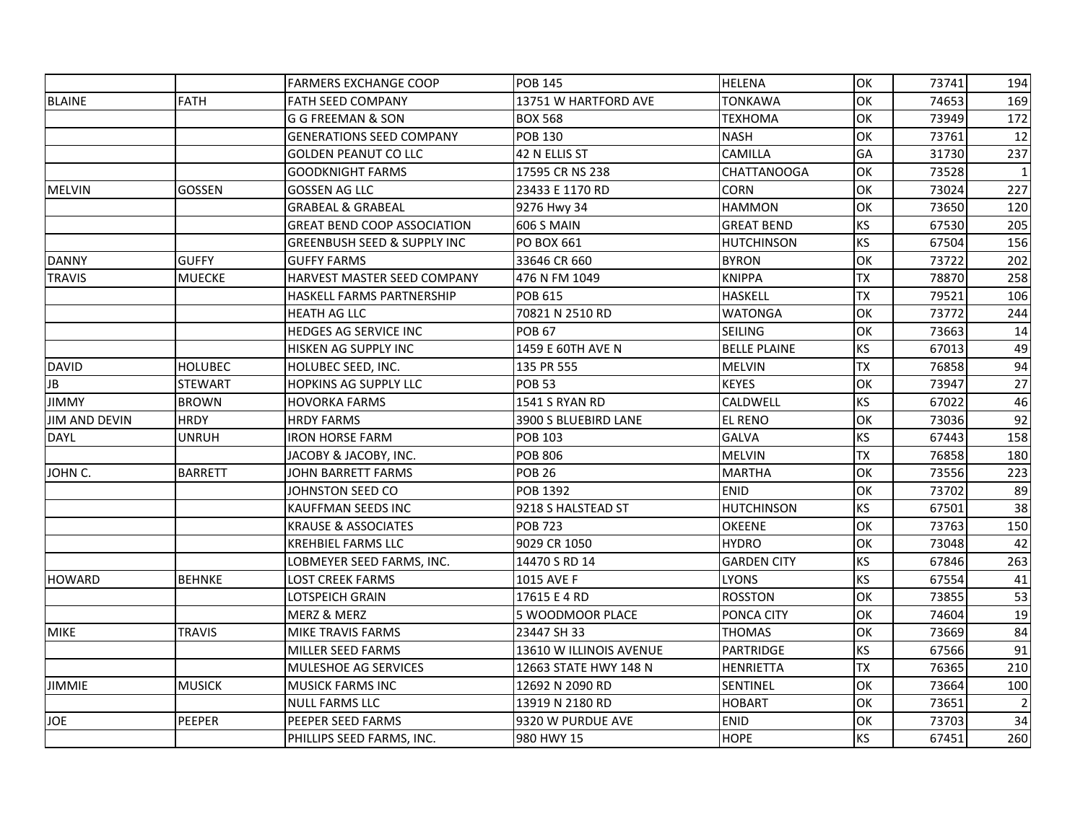|                      |                | <b>FARMERS EXCHANGE COOP</b>           | <b>POB 145</b>          | <b>HELENA</b>       | OK        | 73741 | 194 |
|----------------------|----------------|----------------------------------------|-------------------------|---------------------|-----------|-------|-----|
| <b>BLAINE</b>        | <b>FATH</b>    | <b>FATH SEED COMPANY</b>               | 13751 W HARTFORD AVE    | <b>TONKAWA</b>      | OK        | 74653 | 169 |
|                      |                | G G FREEMAN & SON                      | <b>BOX 568</b>          | TEXHOMA             | OK        | 73949 | 172 |
|                      |                | <b>GENERATIONS SEED COMPANY</b>        | <b>POB 130</b>          | <b>NASH</b>         | OK        | 73761 | 12  |
|                      |                | <b>GOLDEN PEANUT CO LLC</b>            | 42 N ELLIS ST           | CAMILLA             | GA        | 31730 | 237 |
|                      |                | <b>GOODKNIGHT FARMS</b>                | 17595 CR NS 238         | <b>CHATTANOOGA</b>  | OK        | 73528 |     |
| <b>MELVIN</b>        | GOSSEN         | <b>GOSSEN AG LLC</b>                   | 23433 E 1170 RD         | <b>CORN</b>         | OK        | 73024 | 227 |
|                      |                | <b>GRABEAL &amp; GRABEAL</b>           | 9276 Hwy 34             | <b>HAMMON</b>       | OK        | 73650 | 120 |
|                      |                | <b>GREAT BEND COOP ASSOCIATION</b>     | <b>606 S MAIN</b>       | <b>GREAT BEND</b>   | <b>KS</b> | 67530 | 205 |
|                      |                | <b>GREENBUSH SEED &amp; SUPPLY INC</b> | PO BOX 661              | <b>HUTCHINSON</b>   | <b>KS</b> | 67504 | 156 |
| <b>DANNY</b>         | <b>GUFFY</b>   | <b>GUFFY FARMS</b>                     | 33646 CR 660            | <b>BYRON</b>        | OK        | 73722 | 202 |
| <b>TRAVIS</b>        | <b>MUECKE</b>  | HARVEST MASTER SEED COMPANY            | 476 N FM 1049           | <b>KNIPPA</b>       | <b>TX</b> | 78870 | 258 |
|                      |                | <b>HASKELL FARMS PARTNERSHIP</b>       | POB 615                 | <b>HASKELL</b>      | <b>TX</b> | 79521 | 106 |
|                      |                | <b>HEATH AG LLC</b>                    | 70821 N 2510 RD         | <b>WATONGA</b>      | OK        | 73772 | 244 |
|                      |                | HEDGES AG SERVICE INC                  | <b>POB 67</b>           | <b>SEILING</b>      | OK        | 73663 | 14  |
|                      |                | HISKEN AG SUPPLY INC                   | 1459 E 60TH AVE N       | <b>BELLE PLAINE</b> | <b>KS</b> | 67013 | 49  |
| <b>DAVID</b>         | <b>HOLUBEC</b> | HOLUBEC SEED, INC.                     | 135 PR 555              | <b>MELVIN</b>       | <b>TX</b> | 76858 | 94  |
| JB                   | <b>STEWART</b> | <b>HOPKINS AG SUPPLY LLC</b>           | <b>POB 53</b>           | <b>KEYES</b>        | OK        | 73947 | 27  |
| <b>JIMMY</b>         | <b>BROWN</b>   | <b>HOVORKA FARMS</b>                   | <b>1541 S RYAN RD</b>   | CALDWELL            | <b>KS</b> | 67022 | 46  |
| <b>JIM AND DEVIN</b> | <b>HRDY</b>    | <b>HRDY FARMS</b>                      | 3900 S BLUEBIRD LANE    | <b>EL RENO</b>      | OK        | 73036 | 92  |
| <b>DAYL</b>          | UNRUH          | <b>IRON HORSE FARM</b>                 | <b>POB 103</b>          | <b>GALVA</b>        | <b>KS</b> | 67443 | 158 |
|                      |                | JACOBY & JACOBY, INC.                  | <b>POB 806</b>          | <b>MELVIN</b>       | <b>TX</b> | 76858 | 180 |
| JOHN C.              | <b>BARRETT</b> | <b>JOHN BARRETT FARMS</b>              | <b>POB 26</b>           | <b>MARTHA</b>       | OK        | 73556 | 223 |
|                      |                | JOHNSTON SEED CO                       | POB 1392                | <b>ENID</b>         | OK        | 73702 | 89  |
|                      |                | <b>KAUFFMAN SEEDS INC</b>              | 9218 S HALSTEAD ST      | HUTCHINSON          | <b>KS</b> | 67501 | 38  |
|                      |                | <b>KRAUSE &amp; ASSOCIATES</b>         | <b>POB 723</b>          | <b>OKEENE</b>       | OK        | 73763 | 150 |
|                      |                | <b>KREHBIEL FARMS LLC</b>              | 9029 CR 1050            | <b>HYDRO</b>        | OK        | 73048 | 42  |
|                      |                | LOBMEYER SEED FARMS, INC.              | 14470 S RD 14           | <b>GARDEN CITY</b>  | KS        | 67846 | 263 |
| <b>HOWARD</b>        | <b>BEHNKE</b>  | LOST CREEK FARMS                       | 1015 AVE F              | <b>LYONS</b>        | <b>KS</b> | 67554 | 41  |
|                      |                | LOTSPEICH GRAIN                        | 17615 E 4 RD            | <b>ROSSTON</b>      | OK        | 73855 | 53  |
|                      |                | MERZ & MERZ                            | 5 WOODMOOR PLACE        | PONCA CITY          | OK        | 74604 | 19  |
| <b>MIKE</b>          | <b>TRAVIS</b>  | MIKE TRAVIS FARMS                      | 23447 SH 33             | THOMAS              | OK        | 73669 | 84  |
|                      |                | MILLER SEED FARMS                      | 13610 W ILLINOIS AVENUE | PARTRIDGE           | <b>KS</b> | 67566 | 91  |
|                      |                | MULESHOE AG SERVICES                   | 12663 STATE HWY 148 N   | <b>HENRIETTA</b>    | <b>TX</b> | 76365 | 210 |
| <b>JIMMIE</b>        | <b>MUSICK</b>  | <b>MUSICK FARMS INC</b>                | 12692 N 2090 RD         | SENTINEL            | OK        | 73664 | 100 |
|                      |                | <b>NULL FARMS LLC</b>                  | 13919 N 2180 RD         | <b>HOBART</b>       | OK        | 73651 |     |
| <b>JOE</b>           | <b>PEEPER</b>  | PEEPER SEED FARMS                      | 9320 W PURDUE AVE       | <b>ENID</b>         | OK        | 73703 | 34  |
|                      |                | PHILLIPS SEED FARMS, INC.              | 980 HWY 15              | <b>HOPE</b>         | KS        | 67451 | 260 |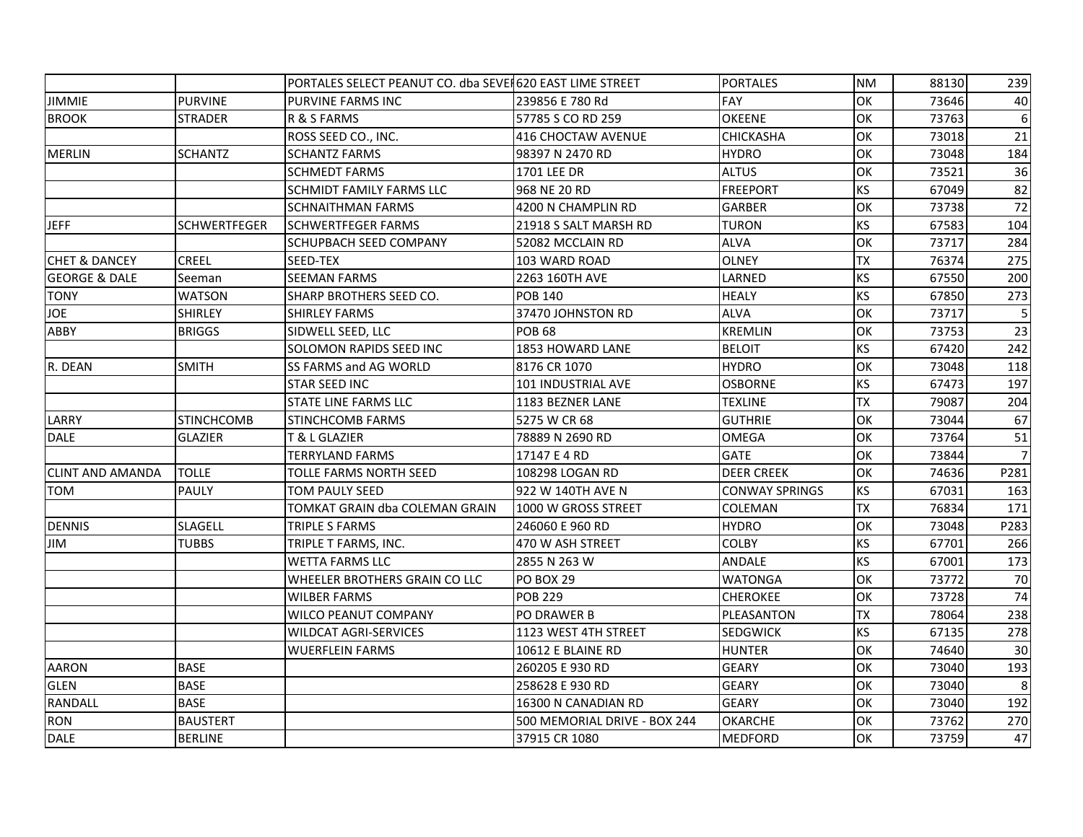|                          |                     | PORTALES SELECT PEANUT CO. dba SEVEI 620 EAST LIME STREET |                              | <b>PORTALES</b>       | <b>NM</b> | 88130 | 239             |
|--------------------------|---------------------|-----------------------------------------------------------|------------------------------|-----------------------|-----------|-------|-----------------|
| <b>JIMMIE</b>            | <b>PURVINE</b>      | PURVINE FARMS INC                                         | 239856 E 780 Rd              | <b>FAY</b>            | OK        | 73646 | 40              |
| <b>BROOK</b>             | STRADER             | R & S FARMS                                               | 57785 S CO RD 259            | <b>OKEENE</b>         | OK        | 73763 | 6               |
|                          |                     | ROSS SEED CO., INC.                                       | 416 CHOCTAW AVENUE           | <b>CHICKASHA</b>      | OK        | 73018 | 21              |
| <b>MERLIN</b>            | <b>SCHANTZ</b>      | <b>SCHANTZ FARMS</b>                                      | 98397 N 2470 RD              | <b>HYDRO</b>          | OK        | 73048 | 184             |
|                          |                     | <b>SCHMEDT FARMS</b>                                      | 1701 LEE DR                  | <b>ALTUS</b>          | OK        | 73521 | 36              |
|                          |                     | <b>SCHMIDT FAMILY FARMS LLC</b>                           | 968 NE 20 RD                 | <b>FREEPORT</b>       | KS        | 67049 | 82              |
|                          |                     | <b>SCHNAITHMAN FARMS</b>                                  | 4200 N CHAMPLIN RD           | <b>GARBER</b>         | OK        | 73738 | $\overline{72}$ |
| <b>JEFF</b>              | <b>SCHWERTFEGER</b> | <b>SCHWERTFEGER FARMS</b>                                 | 21918 S SALT MARSH RD        | <b>TURON</b>          | <b>KS</b> | 67583 | 104             |
|                          |                     | <b>SCHUPBACH SEED COMPANY</b>                             | 52082 MCCLAIN RD             | <b>ALVA</b>           | OK        | 73717 | 284             |
| <b>CHET &amp; DANCEY</b> | <b>CREEL</b>        | SEED-TEX                                                  | 103 WARD ROAD                | <b>OLNEY</b>          | <b>TX</b> | 76374 | 275             |
| <b>GEORGE &amp; DALE</b> | Seeman              | <b>SEEMAN FARMS</b>                                       | 2263 160TH AVE               | LARNED                | <b>KS</b> | 67550 | 200             |
| <b>TONY</b>              | <b>WATSON</b>       | SHARP BROTHERS SEED CO.                                   | <b>POB 140</b>               | <b>HEALY</b>          | <b>KS</b> | 67850 | 273             |
| <b>JOE</b>               | <b>SHIRLEY</b>      | <b>SHIRLEY FARMS</b>                                      | 37470 JOHNSTON RD            | <b>ALVA</b>           | OK        | 73717 | 5               |
| ABBY                     | <b>BRIGGS</b>       | SIDWELL SEED, LLC                                         | <b>POB 68</b>                | <b>KREMLIN</b>        | OK        | 73753 | 23              |
|                          |                     | SOLOMON RAPIDS SEED INC                                   | 1853 HOWARD LANE             | <b>BELOIT</b>         | <b>KS</b> | 67420 | 242             |
| R. DEAN                  | <b>SMITH</b>        | <b>SS FARMS and AG WORLD</b>                              | 8176 CR 1070                 | <b>HYDRO</b>          | OK        | 73048 | 118             |
|                          |                     | <b>STAR SEED INC</b>                                      | 101 INDUSTRIAL AVE           | <b>OSBORNE</b>        | <b>KS</b> | 67473 | 197             |
|                          |                     | <b>STATE LINE FARMS LLC</b>                               | 1183 BEZNER LANE             | <b>TEXLINE</b>        | <b>TX</b> | 79087 | 204             |
| LARRY                    | <b>STINCHCOMB</b>   | <b>STINCHCOMB FARMS</b>                                   | 5275 W CR 68                 | <b>GUTHRIE</b>        | OK        | 73044 | 67              |
| <b>DALE</b>              | <b>GLAZIER</b>      | T & L GLAZIER                                             | 78889 N 2690 RD              | <b>OMEGA</b>          | OK        | 73764 | 51              |
|                          |                     | TERRYLAND FARMS                                           | 17147 E 4 RD                 | <b>GATE</b>           | OK        | 73844 |                 |
| <b>CLINT AND AMANDA</b>  | <b>TOLLE</b>        | TOLLE FARMS NORTH SEED                                    | 108298 LOGAN RD              | <b>DEER CREEK</b>     | OK        | 74636 | P281            |
| <b>TOM</b>               | <b>PAULY</b>        | TOM PAULY SEED                                            | 922 W 140TH AVE N            | <b>CONWAY SPRINGS</b> | <b>KS</b> | 67031 | 163             |
|                          |                     | TOMKAT GRAIN dba COLEMAN GRAIN                            | 1000 W GROSS STREET          | COLEMAN               | <b>TX</b> | 76834 | 171             |
| <b>DENNIS</b>            | <b>SLAGELL</b>      | TRIPLE S FARMS                                            | 246060 E 960 RD              | <b>HYDRO</b>          | OK        | 73048 | P283            |
| JIM                      | <b>TUBBS</b>        | TRIPLE T FARMS, INC.                                      | 470 W ASH STREET             | <b>COLBY</b>          | <b>KS</b> | 67701 | 266             |
|                          |                     | <b>WETTA FARMS LLC</b>                                    | 2855 N 263 W                 | ANDALE                | <b>KS</b> | 67001 | 173             |
|                          |                     | WHEELER BROTHERS GRAIN CO LLC                             | <b>PO BOX 29</b>             | <b>WATONGA</b>        | OK        | 73772 | 70              |
|                          |                     | WILBER FARMS                                              | <b>POB 229</b>               | <b>CHEROKEE</b>       | OK        | 73728 | $\overline{74}$ |
|                          |                     | <b>WILCO PEANUT COMPANY</b>                               | PO DRAWER B                  | PLEASANTON            | <b>TX</b> | 78064 | 238             |
|                          |                     | <b>WILDCAT AGRI-SERVICES</b>                              | 1123 WEST 4TH STREET         | <b>SEDGWICK</b>       | <b>KS</b> | 67135 | 278             |
|                          |                     | <b>WUERFLEIN FARMS</b>                                    | 10612 E BLAINE RD            | <b>HUNTER</b>         | OK        | 74640 | 30              |
| AARON                    | <b>BASE</b>         |                                                           | 260205 E 930 RD              | <b>GEARY</b>          | OK        | 73040 | 193             |
| <b>GLEN</b>              | <b>BASE</b>         |                                                           | 258628 E 930 RD              | <b>GEARY</b>          | OK        | 73040 | 8               |
| RANDALL                  | <b>BASE</b>         |                                                           | 16300 N CANADIAN RD          | <b>GEARY</b>          | OK        | 73040 | 192             |
| <b>RON</b>               | <b>BAUSTERT</b>     |                                                           | 500 MEMORIAL DRIVE - BOX 244 | <b>OKARCHE</b>        | OK        | 73762 | 270             |
| <b>DALE</b>              | <b>BERLINE</b>      |                                                           | 37915 CR 1080                | <b>MEDFORD</b>        | OK        | 73759 | 47              |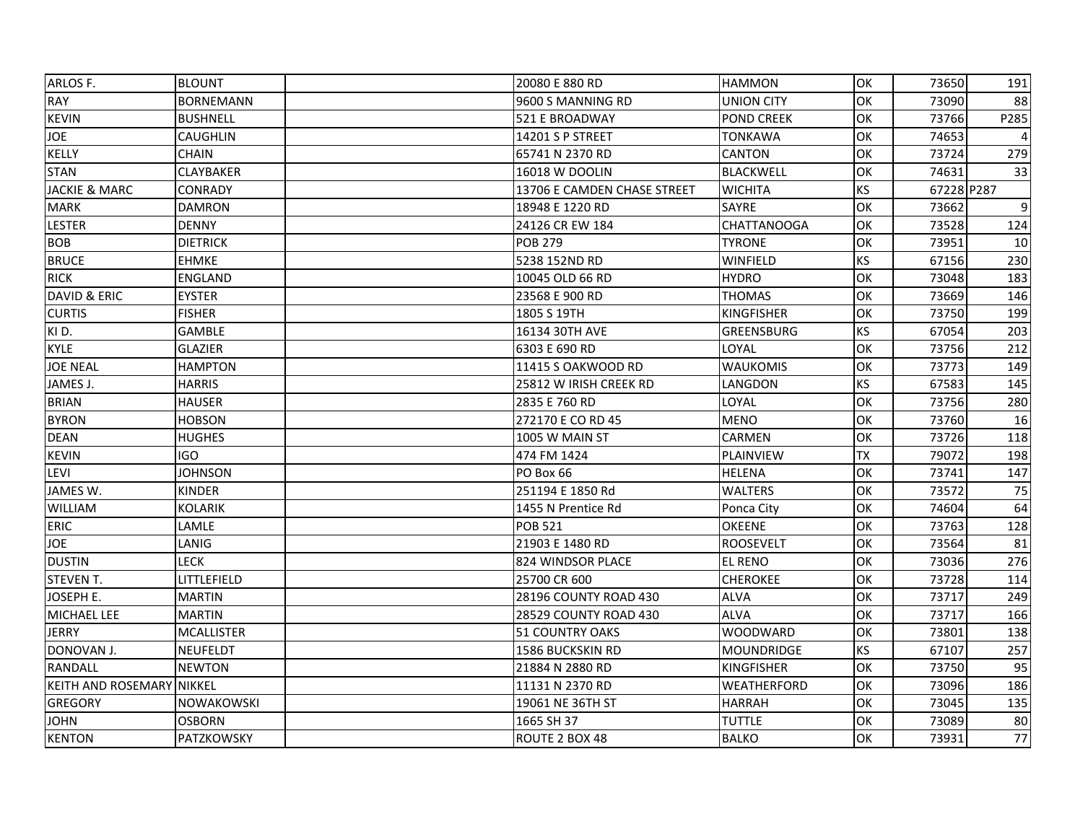| ARLOS F.                  | <b>BLOUNT</b>     | 20080 E 880 RD              | <b>HAMMON</b>      | OK        | 73650      | 191              |
|---------------------------|-------------------|-----------------------------|--------------------|-----------|------------|------------------|
| <b>RAY</b>                | <b>BORNEMANN</b>  | 9600 S MANNING RD           | <b>UNION CITY</b>  | OK        | 73090      | 88               |
| KEVIN                     | <b>BUSHNELL</b>   | 521 E BROADWAY              | <b>POND CREEK</b>  | OK        | 73766      | P285             |
| <b>JOE</b>                | <b>CAUGHLIN</b>   | <b>14201 S P STREET</b>     | <b>TONKAWA</b>     | OK        | 74653      |                  |
| KELLY                     | <b>CHAIN</b>      | 65741 N 2370 RD             | CANTON             | OK        | 73724      | 279              |
| <b>STAN</b>               | <b>CLAYBAKER</b>  | 16018 W DOOLIN              | <b>BLACKWELL</b>   | OK        | 74631      | 33               |
| <b>JACKIE &amp; MARC</b>  | <b>CONRADY</b>    | 13706 E CAMDEN CHASE STREET | <b>WICHITA</b>     | <b>KS</b> | 67228 P287 |                  |
| <b>MARK</b>               | <b>DAMRON</b>     | 18948 E 1220 RD             | SAYRE              | OK        | 73662      | $\boldsymbol{9}$ |
| <b>LESTER</b>             | <b>DENNY</b>      | 24126 CR EW 184             | <b>CHATTANOOGA</b> | OK        | 73528      | 124              |
| <b>BOB</b>                | <b>DIETRICK</b>   | <b>POB 279</b>              | <b>TYRONE</b>      | OK        | 73951      | 10               |
| <b>BRUCE</b>              | <b>EHMKE</b>      | 5238 152ND RD               | <b>WINFIELD</b>    | <b>KS</b> | 67156      | 230              |
| <b>RICK</b>               | <b>ENGLAND</b>    | 10045 OLD 66 RD             | <b>HYDRO</b>       | OK        | 73048      | 183              |
| DAVID & ERIC              | <b>EYSTER</b>     | 23568 E 900 RD              | <b>THOMAS</b>      | OK        | 73669      | 146              |
| <b>CURTIS</b>             | <b>FISHER</b>     | 1805 S 19TH                 | <b>KINGFISHER</b>  | OK        | 73750      | 199              |
| KID.                      | <b>GAMBLE</b>     | 16134 30TH AVE              | GREENSBURG         | <b>KS</b> | 67054      | 203              |
| <b>KYLE</b>               | <b>GLAZIER</b>    | 6303 E 690 RD               | LOYAL              | OK        | 73756      | 212              |
| <b>JOE NEAL</b>           | <b>HAMPTON</b>    | 11415 S OAKWOOD RD          | <b>WAUKOMIS</b>    | OK        | 73773      | 149              |
| JAMES J.                  | <b>HARRIS</b>     | 25812 W IRISH CREEK RD      | LANGDON            | <b>KS</b> | 67583      | 145              |
| <b>BRIAN</b>              | <b>HAUSER</b>     | 2835 E 760 RD               | LOYAL              | OK        | 73756      | 280              |
| <b>BYRON</b>              | <b>HOBSON</b>     | 272170 E CO RD 45           | <b>MENO</b>        | OK        | 73760      | 16               |
| <b>DEAN</b>               | <b>HUGHES</b>     | 1005 W MAIN ST              | CARMEN             | OK        | 73726      | 118              |
| <b>KEVIN</b>              | IGO               | 474 FM 1424                 | PLAINVIEW          | <b>TX</b> | 79072      | 198              |
| LEVI                      | <b>JOHNSON</b>    | PO Box 66                   | <b>HELENA</b>      | OK        | 73741      | 147              |
| JAMES W.                  | <b>KINDER</b>     | 251194 E 1850 Rd            | WALTERS            | OK        | 73572      | 75               |
| <b>WILLIAM</b>            | KOLARIK           | 1455 N Prentice Rd          | Ponca City         | <b>OK</b> | 74604      | 64               |
| <b>ERIC</b>               | LAMLE             | <b>POB 521</b>              | <b>OKEENE</b>      | OK        | 73763      | 128              |
| <b>JOE</b>                | LANIG             | 21903 E 1480 RD             | <b>ROOSEVELT</b>   | OK        | 73564      | 81               |
| <b>DUSTIN</b>             | LECK              | 824 WINDSOR PLACE           | <b>EL RENO</b>     | OK        | 73036      | 276              |
| <b>STEVEN T.</b>          | LITTLEFIELD       | 25700 CR 600                | <b>CHEROKEE</b>    | OK        | 73728      | 114              |
| JOSEPH E.                 | MARTIN            | 28196 COUNTY ROAD 430       | <b>ALVA</b>        | OK        | 73717      | 249              |
| MICHAEL LEE               | <b>MARTIN</b>     | 28529 COUNTY ROAD 430       | <b>ALVA</b>        | OK        | 73717      | 166              |
| <b>JERRY</b>              | <b>MCALLISTER</b> | <b>51 COUNTRY OAKS</b>      | WOODWARD           | OK        | 73801      | 138              |
| DONOVAN J.                | <b>NEUFELDT</b>   | 1586 BUCKSKIN RD            | <b>MOUNDRIDGE</b>  | <b>KS</b> | 67107      | 257              |
| <b>RANDALL</b>            | <b>NEWTON</b>     | 21884 N 2880 RD             | <b>KINGFISHER</b>  | OK        | 73750      | 95               |
| KEITH AND ROSEMARY NIKKEL |                   | 11131 N 2370 RD             | WEATHERFORD        | OK        | 73096      | 186              |
| <b>GREGORY</b>            | NOWAKOWSKI        | 19061 NE 36TH ST            | <b>HARRAH</b>      | OK        | 73045      | 135              |
| <b>JOHN</b>               | <b>OSBORN</b>     | 1665 SH 37                  | TUTTLE             | OK        | 73089      | 80               |
| <b>KENTON</b>             | PATZKOWSKY        | ROUTE 2 BOX 48              | <b>BALKO</b>       | OK        | 73931      | 77               |